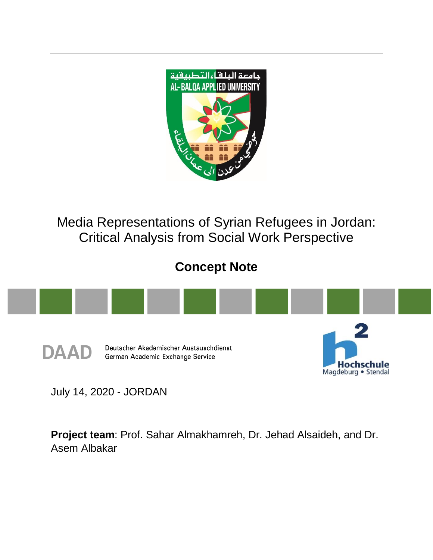

Media Representations of Syrian Refugees in Jordan: Critical Analysis from Social Work Perspective

# **Concept Note**



July 14, 2020 - JORDAN

**Project team**: Prof. Sahar Almakhamreh, Dr. Jehad Alsaideh, and Dr. Asem Albakar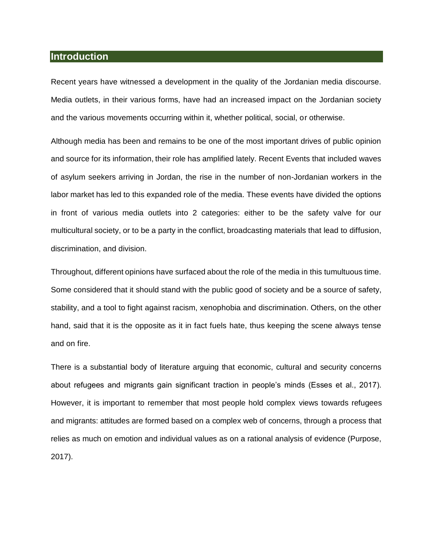#### **Introduction**

Recent years have witnessed a development in the quality of the Jordanian media discourse. Media outlets, in their various forms, have had an increased impact on the Jordanian society and the various movements occurring within it, whether political, social, or otherwise.

Although media has been and remains to be one of the most important drives of public opinion and source for its information, their role has amplified lately. Recent Events that included waves of asylum seekers arriving in Jordan, the rise in the number of non-Jordanian workers in the labor market has led to this expanded role of the media. These events have divided the options in front of various media outlets into 2 categories: either to be the safety valve for our multicultural society, or to be a party in the conflict, broadcasting materials that lead to diffusion, discrimination, and division.

Throughout, different opinions have surfaced about the role of the media in this tumultuous time. Some considered that it should stand with the public good of society and be a source of safety, stability, and a tool to fight against racism, xenophobia and discrimination. Others, on the other hand, said that it is the opposite as it in fact fuels hate, thus keeping the scene always tense and on fire.

There is a substantial body of literature arguing that economic, cultural and security concerns about refugees and migrants gain significant traction in people's minds (Esses et al., 2017). However, it is important to remember that most people hold complex views towards refugees and migrants: attitudes are formed based on a complex web of concerns, through a process that relies as much on emotion and individual values as on a rational analysis of evidence (Purpose, 2017).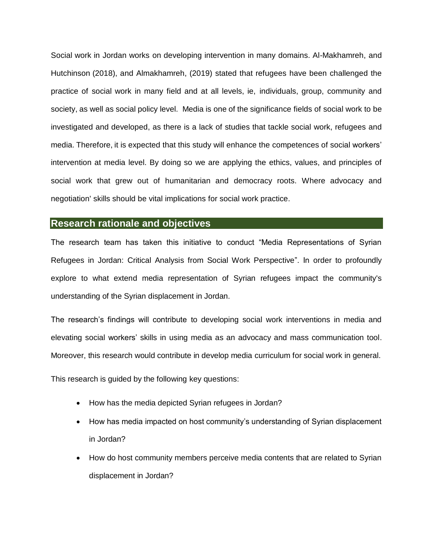Social work in Jordan works on developing intervention in many domains. Al-Makhamreh, and Hutchinson (2018), and Almakhamreh, (2019) stated that refugees have been challenged the practice of social work in many field and at all levels, ie, individuals, group, community and society, as well as social policy level. Media is one of the significance fields of social work to be investigated and developed, as there is a lack of studies that tackle social work, refugees and media. Therefore, it is expected that this study will enhance the competences of social workers' intervention at media level. By doing so we are applying the ethics, values, and principles of social work that grew out of humanitarian and democracy roots. Where advocacy and negotiation' skills should be vital implications for social work practice.

### **Research rationale and objectives**

The research team has taken this initiative to conduct "Media Representations of Syrian Refugees in Jordan: Critical Analysis from Social Work Perspective". In order to profoundly explore to what extend media representation of Syrian refugees impact the community's understanding of the Syrian displacement in Jordan.

The research's findings will contribute to developing social work interventions in media and elevating social workers' skills in using media as an advocacy and mass communication tool. Moreover, this research would contribute in develop media curriculum for social work in general.

This research is guided by the following key questions:

- How has the media depicted Syrian refugees in Jordan?
- How has media impacted on host community's understanding of Syrian displacement in Jordan?
- How do host community members perceive media contents that are related to Syrian displacement in Jordan?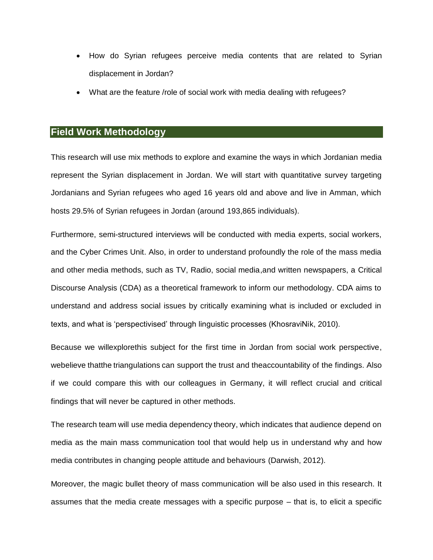- How do Syrian refugees perceive media contents that are related to Syrian displacement in Jordan?
- What are the feature /role of social work with media dealing with refugees?

# **Field Work Methodology**

This research will use mix methods to explore and examine the ways in which Jordanian media represent the Syrian displacement in Jordan. We will start with quantitative survey targeting Jordanians and Syrian refugees who aged 16 years old and above and live in Amman, which hosts 29.5% of Syrian refugees in Jordan (around 193,865 individuals).

Furthermore, semi-structured interviews will be conducted with media experts, social workers, and the Cyber Crimes Unit. Also, in order to understand profoundly the role of the mass media and other media methods, such as TV, Radio, social media,and written newspapers, a Critical Discourse Analysis (CDA) as a theoretical framework to inform our methodology. CDA aims to understand and address social issues by critically examining what is included or excluded in texts, and what is 'perspectivised' through linguistic processes (KhosraviNik, 2010).

Because we willexplorethis subject for the first time in Jordan from social work perspective, webelieve thatthe triangulations can support the trust and theaccountability of the findings. Also if we could compare this with our colleagues in Germany, it will reflect crucial and critical findings that will never be captured in other methods.

The research team will use media dependency theory, which indicates that audience depend on media as the main mass communication tool that would help us in understand why and how media contributes in changing people attitude and behaviours (Darwish, 2012).

Moreover, the magic bullet theory of mass communication will be also used in this research. It assumes that the media create messages with a specific purpose – that is, to elicit a specific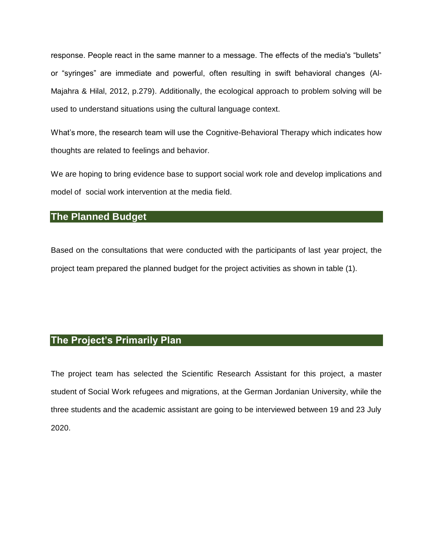response. People react in the same manner to a message. The effects of the media's "bullets" or "syringes" are immediate and powerful, often resulting in swift behavioral changes (Al-Majahra & Hilal, 2012, p.279). Additionally, the ecological approach to problem solving will be used to understand situations using the cultural language context.

What's more, the research team will use the Cognitive-Behavioral Therapy which indicates how thoughts are related to feelings and behavior.

We are hoping to bring evidence base to support social work role and develop implications and model of social work intervention at the media field.

# **The Planned Budget**

Based on the consultations that were conducted with the participants of last year project, the project team prepared the planned budget for the project activities as shown in table (1).

# **The Project's Primarily Plan**

The project team has selected the Scientific Research Assistant for this project, a master student of Social Work refugees and migrations, at the German Jordanian University, while the three students and the academic assistant are going to be interviewed between 19 and 23 July 2020.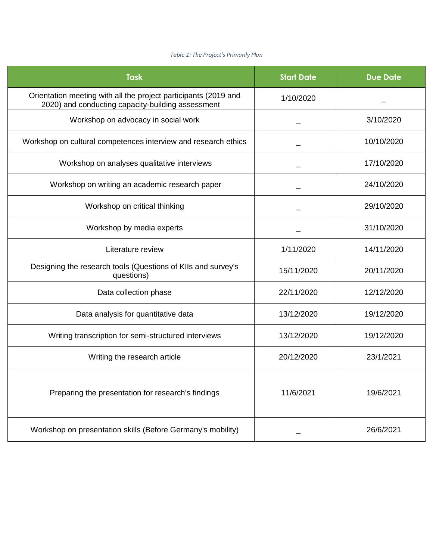#### *Table 1: The Project's Primarily Plan*

| <b>Task</b>                                                                                                          | <b>Start Date</b> | <b>Due Date</b> |
|----------------------------------------------------------------------------------------------------------------------|-------------------|-----------------|
| Orientation meeting with all the project participants (2019 and<br>2020) and conducting capacity-building assessment | 1/10/2020         |                 |
| Workshop on advocacy in social work                                                                                  |                   | 3/10/2020       |
| Workshop on cultural competences interview and research ethics                                                       |                   | 10/10/2020      |
| Workshop on analyses qualitative interviews                                                                          |                   | 17/10/2020      |
| Workshop on writing an academic research paper                                                                       |                   | 24/10/2020      |
| Workshop on critical thinking                                                                                        |                   | 29/10/2020      |
| Workshop by media experts                                                                                            |                   | 31/10/2020      |
| Literature review                                                                                                    | 1/11/2020         | 14/11/2020      |
| Designing the research tools (Questions of KIIs and survey's<br>questions)                                           | 15/11/2020        | 20/11/2020      |
| Data collection phase                                                                                                | 22/11/2020        | 12/12/2020      |
| Data analysis for quantitative data                                                                                  | 13/12/2020        | 19/12/2020      |
| Writing transcription for semi-structured interviews                                                                 | 13/12/2020        | 19/12/2020      |
| Writing the research article                                                                                         | 20/12/2020        | 23/1/2021       |
| Preparing the presentation for research's findings                                                                   | 11/6/2021         | 19/6/2021       |
| Workshop on presentation skills (Before Germany's mobility)                                                          |                   | 26/6/2021       |